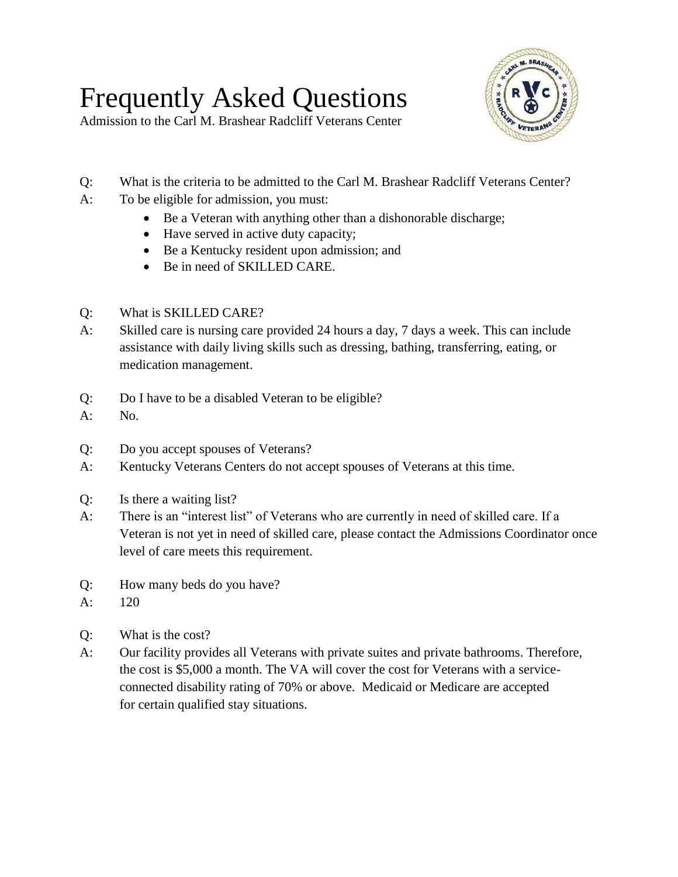## Frequently Asked Questions



Admission to the Carl M. Brashear Radcliff Veterans Center

- Q: What is the criteria to be admitted to the Carl M. Brashear Radcliff Veterans Center?
- A: To be eligible for admission, you must:
	- Be a Veteran with anything other than a dishonorable discharge;
	- Have served in active duty capacity;
	- Be a Kentucky resident upon admission; and
	- Be in need of SKILLED CARE.
- Q: What is SKILLED CARE?
- A: Skilled care is nursing care provided 24 hours a day, 7 days a week. This can include assistance with daily living skills such as dressing, bathing, transferring, eating, or medication management.
- Q: Do I have to be a disabled Veteran to be eligible?
- A: No.
- Q: Do you accept spouses of Veterans?
- A: Kentucky Veterans Centers do not accept spouses of Veterans at this time.
- Q: Is there a waiting list?
- A: There is an "interest list" of Veterans who are currently in need of skilled care. If a Veteran is not yet in need of skilled care, please contact the Admissions Coordinator once level of care meets this requirement.
- Q: How many beds do you have?
- A: 120
- Q: What is the cost?
- A: Our facility provides all Veterans with private suites and private bathrooms. Therefore, the cost is \$5,000 a month. The VA will cover the cost for Veterans with a serviceconnected disability rating of 70% or above. Medicaid or Medicare are accepted for certain qualified stay situations.